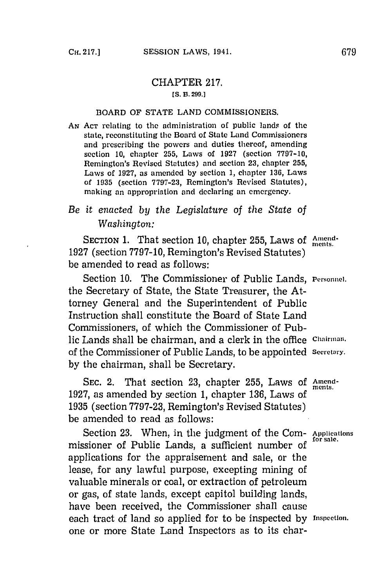## CHAPTER **217. [S. B. 299.]**

## BOARD OF **STATE LAND** COMMISSIONERS.

**AN ACT** relating to the administration of public lands of the state, reconstituting the Board of State Land Commissioners and prescribing the powers and duties thereof, amending section **10,** chapter **255,** Lawvs of **192?** (section **7797-10,** Remington's Revised Statutes) and section **23,** chapter **255,** Laws of **1927,** as amended **by** section **1,** chapter **136,** Laws of **1935** (section **7797-23,** Remington's Revised Statutes), making an appropriation and declaring an emergency.

## *Be it enacted by the Legislature of the State of Washington:*

**SECTION 1.** That section 10, chapter 255, Laws of Amend-**1927** (section **7797-10,** Remington's Revised Statutes) be amended to read as follows:

Section 10. The Commissioner of Public Lands, Personnel. the Secretary of State, the State Treasurer, the Attorney General and the Superintendent of Public Instruction shall constitute the Board of State Land Commissioners, of which the Commissioner of Public Lands shall be chairman, and a clerk in the office **chainnan.** of the Commissioner of Public Lands, to be appointed **secretary. by** the chairman, shall be Secretary.

**SEC.** 2. That section **23,** chapter **255,** Laws **of** Amendments. **1927,** as amended **by** section **1,** chapter **136,** Laws of **1935** (section **7797-23,** Remington's Revised Statutes) be amended to read as follows:

Section 23. When, in the judgment of the Com- Applications missioner of Public Lands, a sufficient number of applications for the appraisement and sale, or the lease, for any lawful purpose, excepting mining of valuable minerals or coal, or extraction of petroleum or gas, of state lands, except capitol building lands, have been received, the Commissioner shall cause each tract of land so applied for to be inspected **by** Inspection. one or more State Land Inspectors as to its char-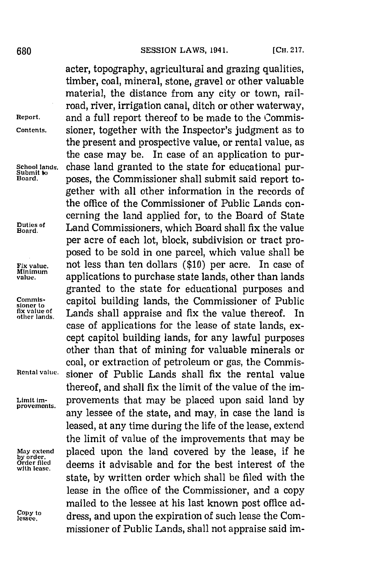acter, topography, agricultural and grazing qualities, timber, coal, mineral, stone, gravel or other valuable material, the distance from any city or town, railroad, river, irrigation canal, ditch or other waterway, **Report,** and a full report thereof to be made to the Commis-**Contents.** sioner, together with the Inspector's judgment as to the present and prospective value, or rental value, as the case may be. In case of an application to pur-School lands. **Chase land granted to the state for educational pur-** Submit **w** noses the Commissioner shall submit said report toposes, the Commissioner shall submit said report together with all other information in the records of the office of the Commissioner of Public Lands concerning the land applied for, to the Board of State **Board.** Land Commissioners, which Board shall fix the value per acre of each lot, block, subdivision or tract proposed to be sold in one parcel, which value shall be **Fix value.** not less than ten dollars **(\$10)** per acre. In case of winimum<br>value. **Also applications to purchase state lands, other than lands** granted to the state for educational purposes and **Commissed building lands, the Commissioner of Public fix value of Lands shall appraise and fix the value thereof. In** Lands shall appraise and fix the value thereof. In case of applications for the lease of state lands, except capitol building lands, for any lawful purposes other than that of mining for valuable minerals or coal, or extraction of petroleum or gas, the Commis-**Rental value.** sioner of Public Lands shall fix the rental value thereof, and shall fix the limit of the value of the im-Limit im- provements that may be placed upon said land **by** any lessee of the state, and may, in case the land is leased, at any time during the life of the lease, extend the limit of value of the improvements that may be **May extend** placed upon the land covered **by** the lease, if he **Order flied** deems it advisable and for the best interest of the state, **by** written order which shall be filed with the lease in the office of the Commissioner, and a copy mailed to the lessee at his last known post office address, and upon the expiration of such lease the Commissioner of Public Lands, shall not appraise said im-

- 
- 
- 
- **Duties of**

- 
- 
- 

**by order. with lease.**

Copy to<br>lessee.